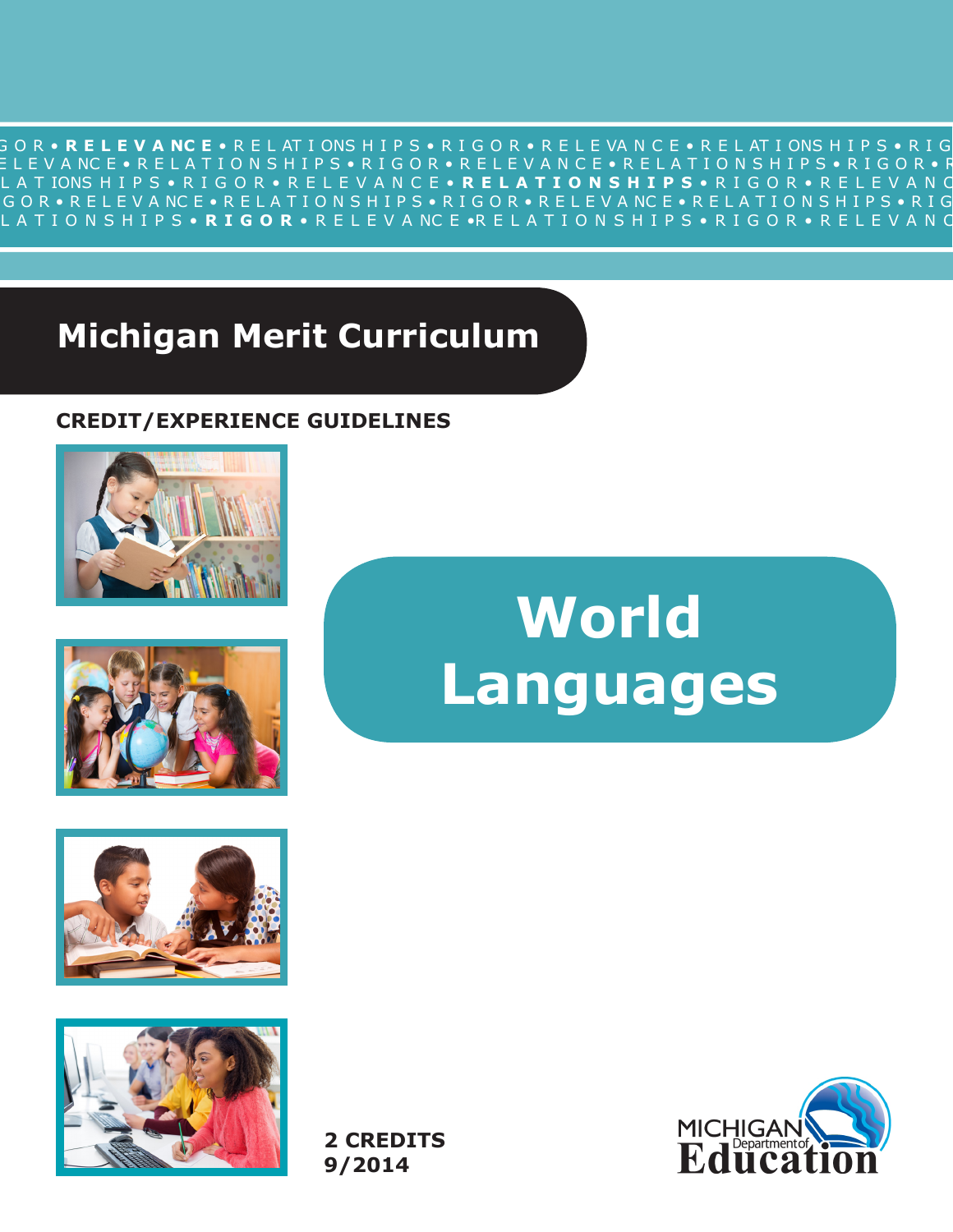R I G O R • **R E L E V A NC E** • R E L AT I ONS H I P S • R I G O R • R E L E VA N C E • R E L AT I ONS H I P S • R I G O R • R E L E V A NC E • R E L A T I O N S H I P S • R I G O R • R E L E V A N C E • R E L A T I O N S H I P S • R I G O R • R E L L A T IONS H I P S • R I G O R • R E L E V A N C E • **R E L A T I O N S H I P S** • R I G O R • R E L E V A N C •R I G O R • R E L E V A NC E • R E L A T I O N S H I P S • R I G O R • R E L E V A NC E • R E L A T I O N S H I P S • R I G O R R E L A T I O N S H I P S • **R I G O R** • R E L E V A NC E •R E L A T I O N S H I P S • R I G O R • R E L E V A N C E •

# **Michigan Merit Curriculum**

# **CREDIT/EXPERIENCE GUIDELINES**





# **World Languages**





**2 CREDITS 9/2014**

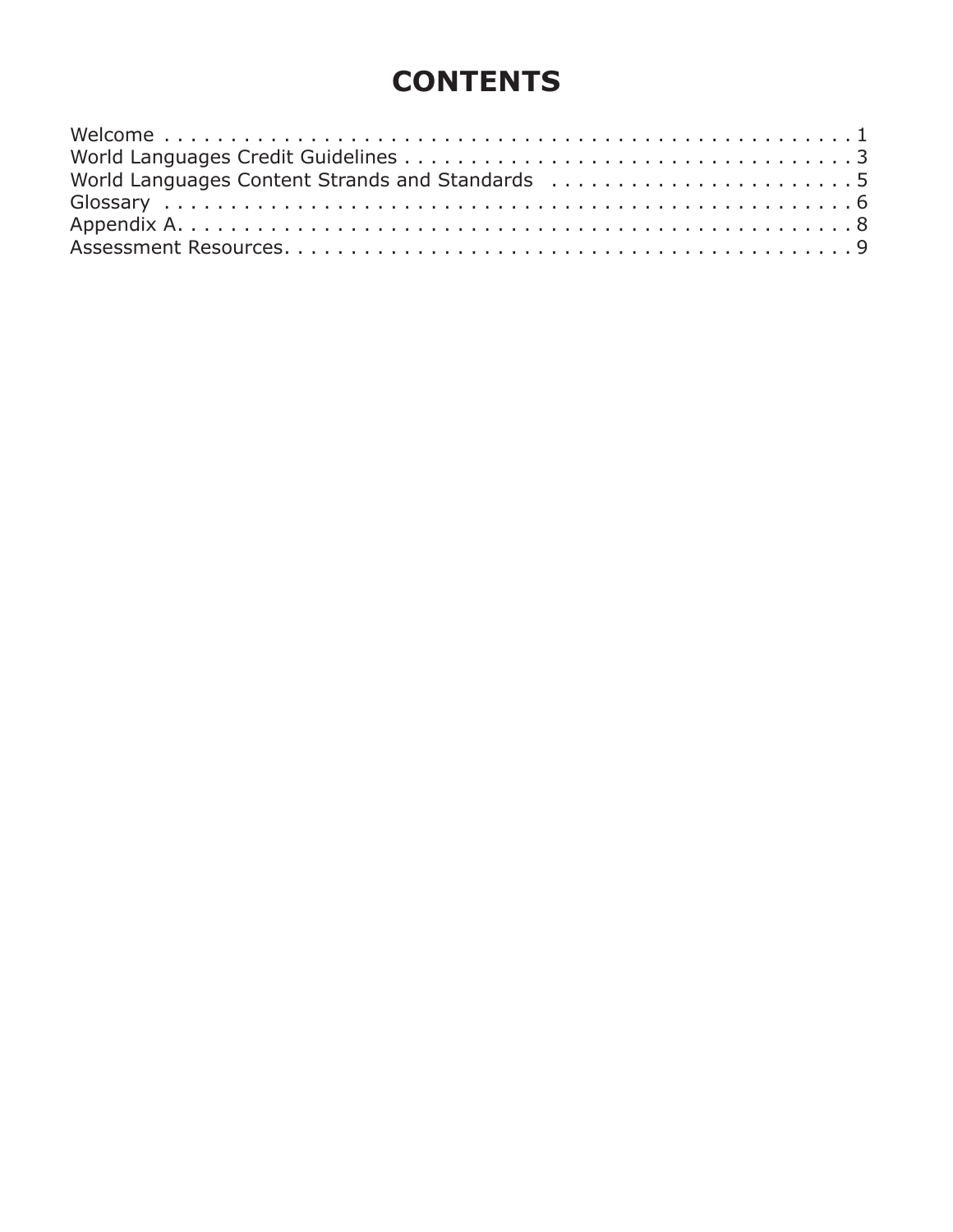# **CONTENTS**

| World Languages Content Strands and Standards 5 |
|-------------------------------------------------|
|                                                 |
|                                                 |
|                                                 |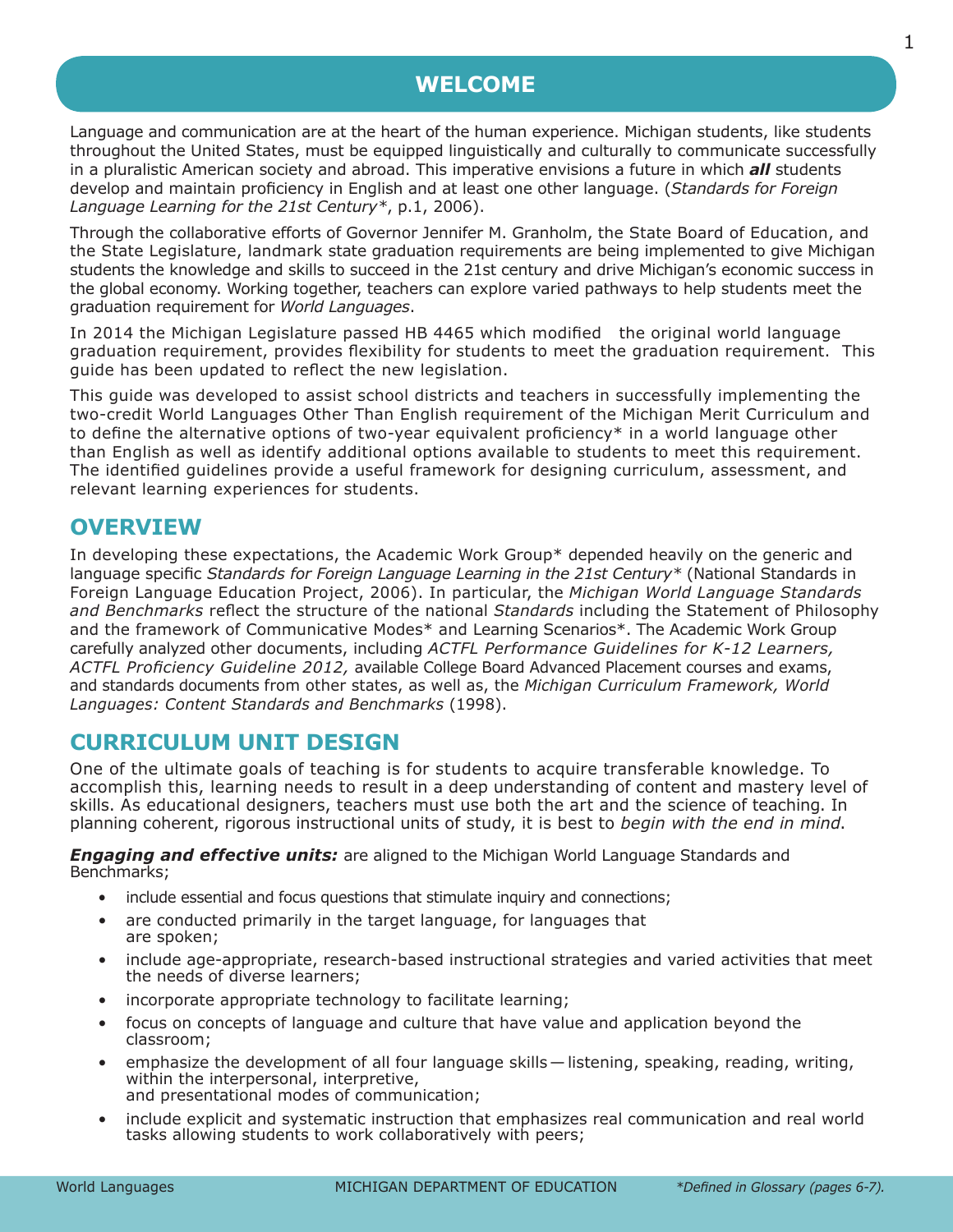# **WELCOME**

<span id="page-2-0"></span>Language and communication are at the heart of the human experience. Michigan students, like students throughout the United States, must be equipped linguistically and culturally to communicate successfully in a pluralistic American society and abroad. This imperative envisions a future in which *all* students develop and maintain proficiency in English and at least one other language. (*Standards for Foreign Language Learning for the 21st Century\**, p.1, 2006).

Through the collaborative efforts of Governor Jennifer M. Granholm, the State Board of Education, and the State Legislature, landmark state graduation requirements are being implemented to give Michigan students the knowledge and skills to succeed in the 21st century and drive Michigan's economic success in the global economy. Working together, teachers can explore varied pathways to help students meet the graduation requirement for *World Languages*.

In 2014 the Michigan Legislature passed HB 4465 which modified the original world language graduation requirement, provides flexibility for students to meet the graduation requirement. This guide has been updated to reflect the new legislation.

This guide was developed to assist school districts and teachers in successfully implementing the two-credit World Languages Other Than English requirement of the Michigan Merit Curriculum and to define the alternative options of two-year equivalent proficiency\* in a world language other than English as well as identify additional options available to students to meet this requirement. The identified guidelines provide a useful framework for designing curriculum, assessment, and relevant learning experiences for students.

### **OVERVIEW**

In developing these expectations, the Academic Work Group\* depended heavily on the generic and language specific *Standards for Foreign Language Learning in the 21st Century\** (National Standards in Foreign Language Education Project, 2006). In particular, the *Michigan World Language Standards and Benchmarks* reflect the structure of the national *Standards* including the Statement of Philosophy and the framework of Communicative Modes\* and Learning Scenarios\*. The Academic Work Group carefully analyzed other documents, including *ACTFL Performance Guidelines for K-12 Learners, ACTFL Proficiency Guideline 2012,* available College Board Advanced Placement courses and exams, and standards documents from other states, as well as, the *Michigan Curriculum Framework, World Languages: Content Standards and Benchmarks* (1998).

# **CURRICULUM UNIT DESIGN**

One of the ultimate goals of teaching is for students to acquire transferable knowledge. To accomplish this, learning needs to result in a deep understanding of content and mastery level of skills. As educational designers, teachers must use both the art and the science of teaching. In planning coherent, rigorous instructional units of study, it is best to *begin with the end in mind*.

*Engaging and effective units:* are aligned to the Michigan World Language Standards and Benchmarks;

- include essential and focus questions that stimulate inquiry and connections;
- are conducted primarily in the target language, for languages that are spoken;
- include age-appropriate, research-based instructional strategies and varied activities that meet the needs of diverse learners;
- incorporate appropriate technology to facilitate learning;
- focus on concepts of language and culture that have value and application beyond the classroom;
- emphasize the development of all four language skills—listening, speaking, reading, writing, within the interpersonal, interpretive, and presentational modes of communication;
- include explicit and systematic instruction that emphasizes real communication and real world tasks allowing students to work collaboratively with peers;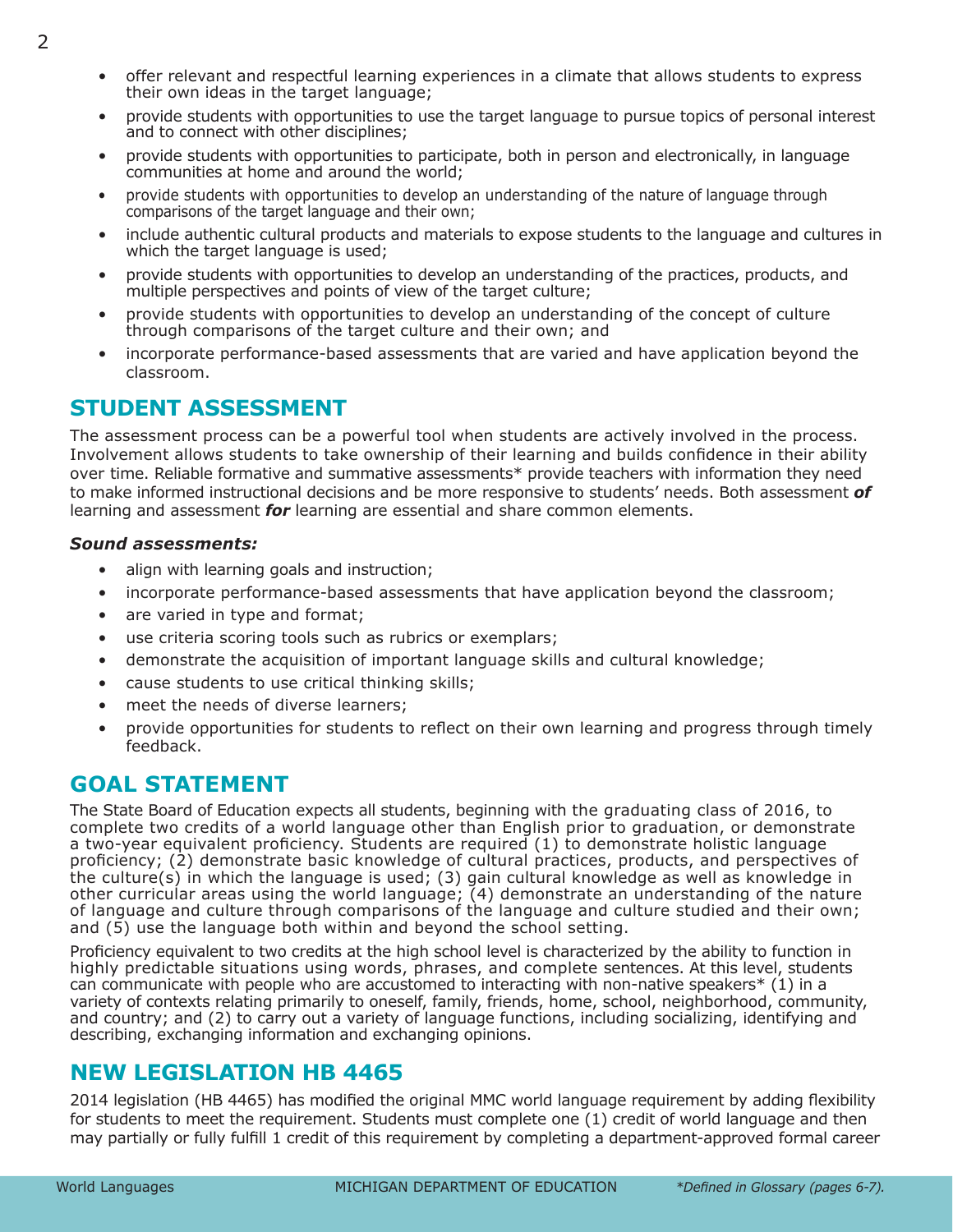- offer relevant and respectful learning experiences in a climate that allows students to express their own ideas in the target language;
- provide students with opportunities to use the target language to pursue topics of personal interest and to connect with other disciplines;
- provide students with opportunities to participate, both in person and electronically, in language communities at home and around the world;
- provide students with opportunities to develop an understanding of the nature of language through comparisons of the target language and their own;
- include authentic cultural products and materials to expose students to the language and cultures in which the target language is used;
- provide students with opportunities to develop an understanding of the practices, products, and multiple perspectives and points of view of the target culture;
- provide students with opportunities to develop an understanding of the concept of culture through comparisons of the target culture and their own; and
- incorporate performance-based assessments that are varied and have application beyond the classroom.

# **STUDENT ASSESSMENT**

The assessment process can be a powerful tool when students are actively involved in the process. Involvement allows students to take ownership of their learning and builds confidence in their ability over time. Reliable formative and summative assessments\* provide teachers with information they need to make informed instructional decisions and be more responsive to students' needs. Both assessment *of* learning and assessment *for* learning are essential and share common elements.

#### *Sound assessments:*

- align with learning goals and instruction;
- incorporate performance-based assessments that have application beyond the classroom;
- are varied in type and format;
- use criteria scoring tools such as rubrics or exemplars;
- demonstrate the acquisition of important language skills and cultural knowledge;
- cause students to use critical thinking skills;
- meet the needs of diverse learners:
- provide opportunities for students to reflect on their own learning and progress through timely feedback.

# **GOAL STATEMENT**

The State Board of Education expects all students, beginning with the graduating class of 2016, to complete two credits of a world language other than English prior to graduation, or demonstrate a two-year equivalent proficiency. Students are required (1) to demonstrate holistic language proficiency; (2) demonstrate basic knowledge of cultural practices, products, and perspectives of the culture(s) in which the language is used; (3) gain cultural knowledge as well as knowledge in other curricular areas using the world language; (4) demonstrate an understanding of the nature of language and culture through comparisons of the language and culture studied and their own; and (5) use the language both within and beyond the school setting.

Proficiency equivalent to two credits at the high school level is characterized by the ability to function in highly predictable situations using words, phrases, and complete sentences. At this level, students can communicate with people who are accustomed to interacting with non-native speakers\* (1) in a variety of contexts relating primarily to oneself, family, friends, home, school, neighborhood, community, and country; and (2) to carry out a variety of language functions, including socializing, identifying and describing, exchanging information and exchanging opinions.

# **NEW LEGISLATION HB 4465**

2014 leaislation (HB 4465) has modified the original MMC world language requirement by adding flexibility for students to meet the requirement. Students must complete one (1) credit of world language and then may partially or fully fulfill 1 credit of this requirement by completing a department-approved formal career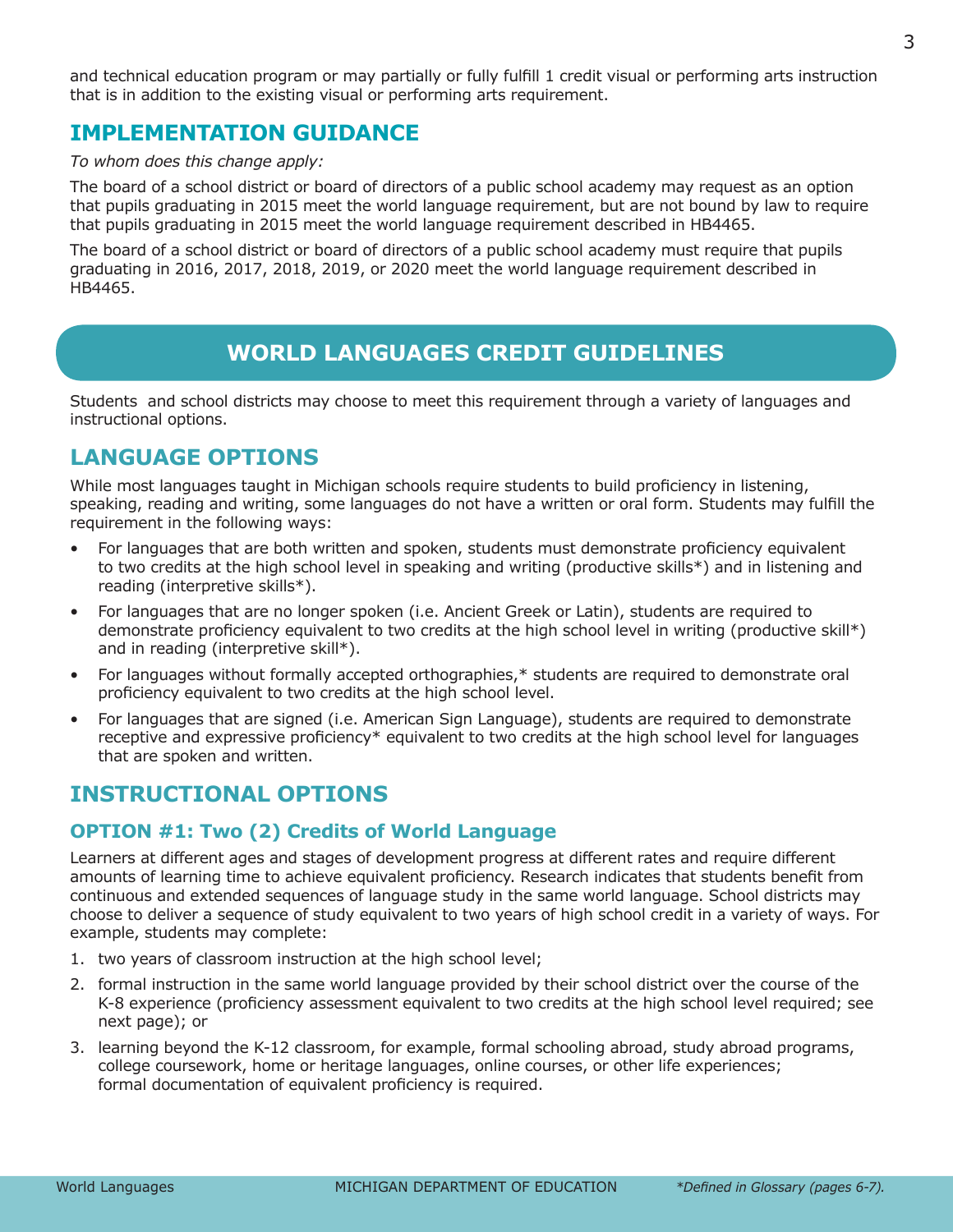<span id="page-4-0"></span>and technical education program or may partially or fully fulfill 1 credit visual or performing arts instruction that is in addition to the existing visual or performing arts requirement.

# **IMPLEMENTATION GUIDANCE**

*To whom does this change apply:*

The board of a school district or board of directors of a public school academy may request as an option that pupils graduating in 2015 meet the world language requirement, but are not bound by law to require that pupils graduating in 2015 meet the world language requirement described in HB4465.

The board of a school district or board of directors of a public school academy must require that pupils graduating in 2016, 2017, 2018, 2019, or 2020 meet the world language requirement described in HB4465.

# **WORLD LANGUAGES CREDIT GUIDELINES**

Students and school districts may choose to meet this requirement through a variety of languages and instructional options.

# **LANGUAGE OPTIONS**

While most languages taught in Michigan schools require students to build proficiency in listening, speaking, reading and writing, some languages do not have a written or oral form. Students may fulfill the requirement in the following ways:

- For languages that are both written and spoken, students must demonstrate proficiency equivalent to two credits at the high school level in speaking and writing (productive skills\*) and in listening and reading (interpretive skills\*).
- For languages that are no longer spoken (i.e. Ancient Greek or Latin), students are required to demonstrate proficiency equivalent to two credits at the high school level in writing (productive skill\*) and in reading (interpretive skill\*).
- For languages without formally accepted orthographies,\* students are required to demonstrate oral proficiency equivalent to two credits at the high school level.
- For languages that are signed (i.e. American Sign Language), students are required to demonstrate receptive and expressive proficiency\* equivalent to two credits at the high school level for languages that are spoken and written.

# **INSTRUCTIONAL OPTIONS**

#### **OPTION #1: Two (2) Credits of World Language**

Learners at different ages and stages of development progress at different rates and require different amounts of learning time to achieve equivalent proficiency. Research indicates that students benefit from continuous and extended sequences of language study in the same world language. School districts may choose to deliver a sequence of study equivalent to two years of high school credit in a variety of ways. For example, students may complete:

- 1. two years of classroom instruction at the high school level;
- 2. formal instruction in the same world language provided by their school district over the course of the K-8 experience (proficiency assessment equivalent to two credits at the high school level required; see next page); or
- 3. learning beyond the K-12 classroom, for example, formal schooling abroad, study abroad programs, college coursework, home or heritage languages, online courses, or other life experiences; formal documentation of equivalent proficiency is required.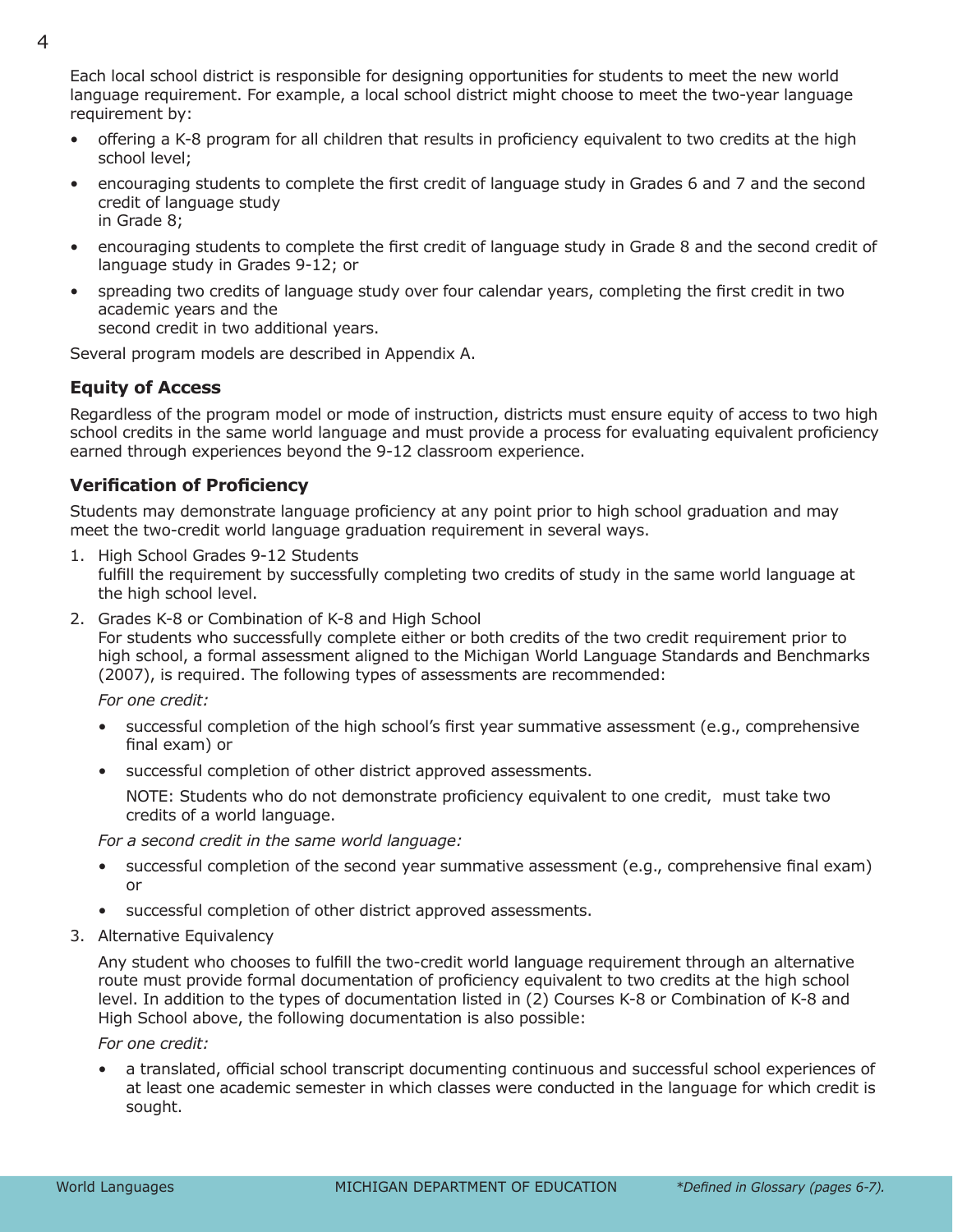Each local school district is responsible for designing opportunities for students to meet the new world language requirement. For example, a local school district might choose to meet the two-year language requirement by:

- offering a K-8 program for all children that results in proficiency equivalent to two credits at the high school level;
- encouraging students to complete the first credit of language study in Grades 6 and 7 and the second credit of language study in Grade 8;
- encouraging students to complete the first credit of language study in Grade 8 and the second credit of language study in Grades 9-12; or
- spreading two credits of language study over four calendar years, completing the first credit in two academic years and the second credit in two additional years.

Several program models are described in Appendix A.

#### **Equity of Access**

Regardless of the program model or mode of instruction, districts must ensure equity of access to two high school credits in the same world language and must provide a process for evaluating equivalent proficiency earned through experiences beyond the 9-12 classroom experience.

#### **Verification of Proficiency**

Students may demonstrate language proficiency at any point prior to high school graduation and may meet the two-credit world language graduation requirement in several ways.

- 1. High School Grades 9-12 Students fulfill the requirement by successfully completing two credits of study in the same world language at the high school level.
- 2. Grades K-8 or Combination of K-8 and High School For students who successfully complete either or both credits of the two credit requirement prior to high school, a formal assessment aligned to the Michigan World Language Standards and Benchmarks (2007), is required. The following types of assessments are recommended:

*For one credit:*

- successful completion of the high school's first year summative assessment (e.g., comprehensive final exam) or
- successful completion of other district approved assessments.

NOTE: Students who do not demonstrate proficiency equivalent to one credit, must take two credits of a world language.

*For a second credit in the same world language:*

- successful completion of the second year summative assessment (e.g., comprehensive final exam) or
- successful completion of other district approved assessments.
- 3. Alternative Equivalency

Any student who chooses to fulfill the two-credit world language requirement through an alternative route must provide formal documentation of proficiency equivalent to two credits at the high school level. In addition to the types of documentation listed in (2) Courses K-8 or Combination of K-8 and High School above, the following documentation is also possible:

#### *For one credit:*

• a translated, official school transcript documenting continuous and successful school experiences of at least one academic semester in which classes were conducted in the language for which credit is sought.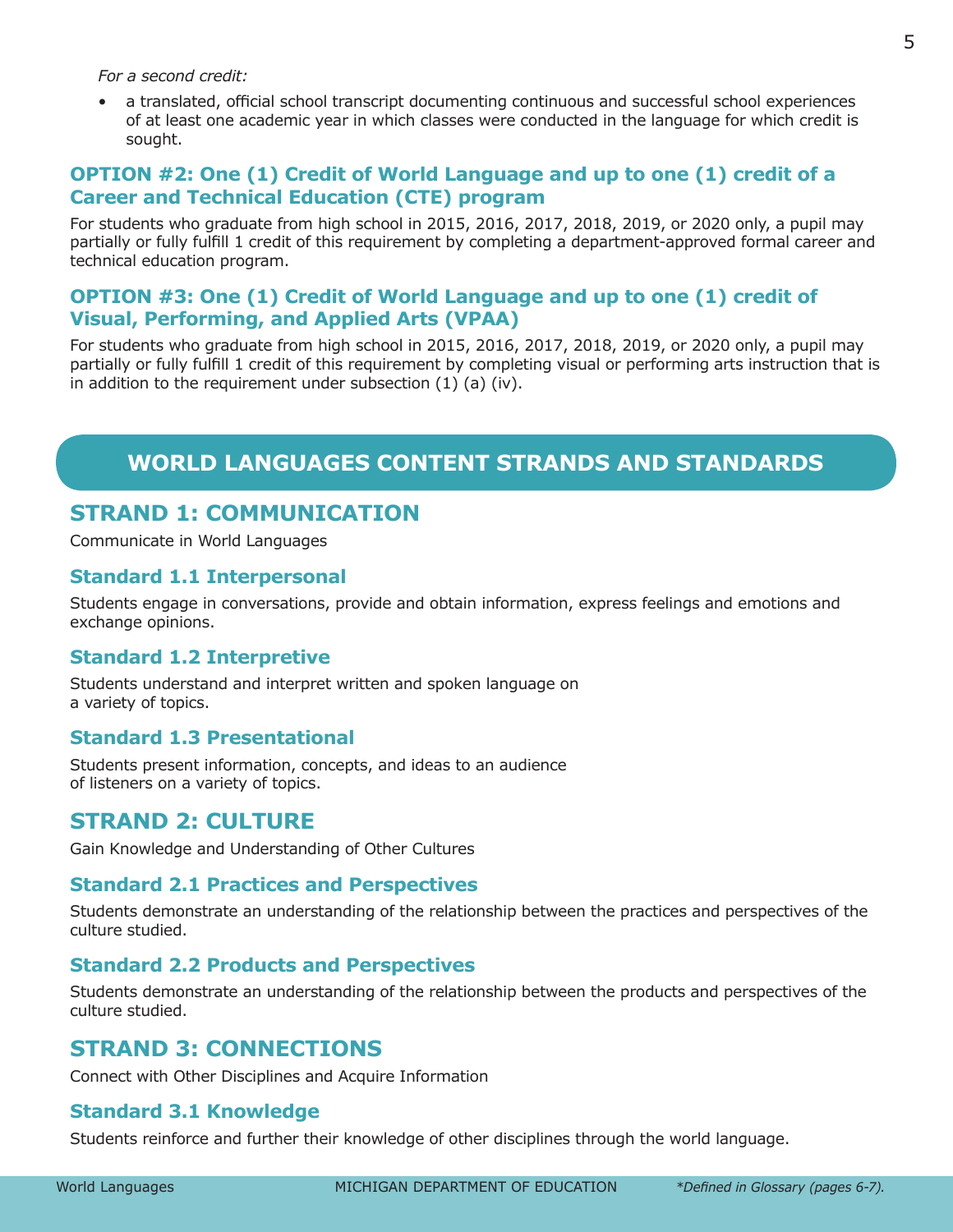<span id="page-6-0"></span>*For a second credit:*

• a translated, official school transcript documenting continuous and successful school experiences of at least one academic year in which classes were conducted in the language for which credit is sought.

#### **OPTION #2: One (1) Credit of World Language and up to one (1) credit of a Career and Technical Education (CTE) program**

For students who graduate from high school in 2015, 2016, 2017, 2018, 2019, or 2020 only, a pupil may partially or fully fulfill 1 credit of this requirement by completing a department-approved formal career and technical education program.

#### **OPTION #3: One (1) Credit of World Language and up to one (1) credit of Visual, Performing, and Applied Arts (VPAA)**

For students who graduate from high school in 2015, 2016, 2017, 2018, 2019, or 2020 only, a pupil may partially or fully fulfill 1 credit of this requirement by completing visual or performing arts instruction that is in addition to the requirement under subsection  $(1)$   $(a)$   $(iv)$ .

# **WORLD LANGUAGES CONTENT STRANDS AND STANDARDS**

# **STRAND 1: COMMUNICATION**

Communicate in World Languages

#### **Standard 1.1 Interpersonal**

Students engage in conversations, provide and obtain information, express feelings and emotions and exchange opinions.

#### **Standard 1.2 Interpretive**

Students understand and interpret written and spoken language on a variety of topics.

#### **Standard 1.3 Presentational**

Students present information, concepts, and ideas to an audience of listeners on a variety of topics.

#### **STRAND 2: CULTURE**

Gain Knowledge and Understanding of Other Cultures

#### **Standard 2.1 Practices and Perspectives**

Students demonstrate an understanding of the relationship between the practices and perspectives of the culture studied.

#### **Standard 2.2 Products and Perspectives**

Students demonstrate an understanding of the relationship between the products and perspectives of the culture studied.

#### **STRAND 3: CONNECTIONS**

Connect with Other Disciplines and Acquire Information

#### **Standard 3.1 Knowledge**

Students reinforce and further their knowledge of other disciplines through the world language.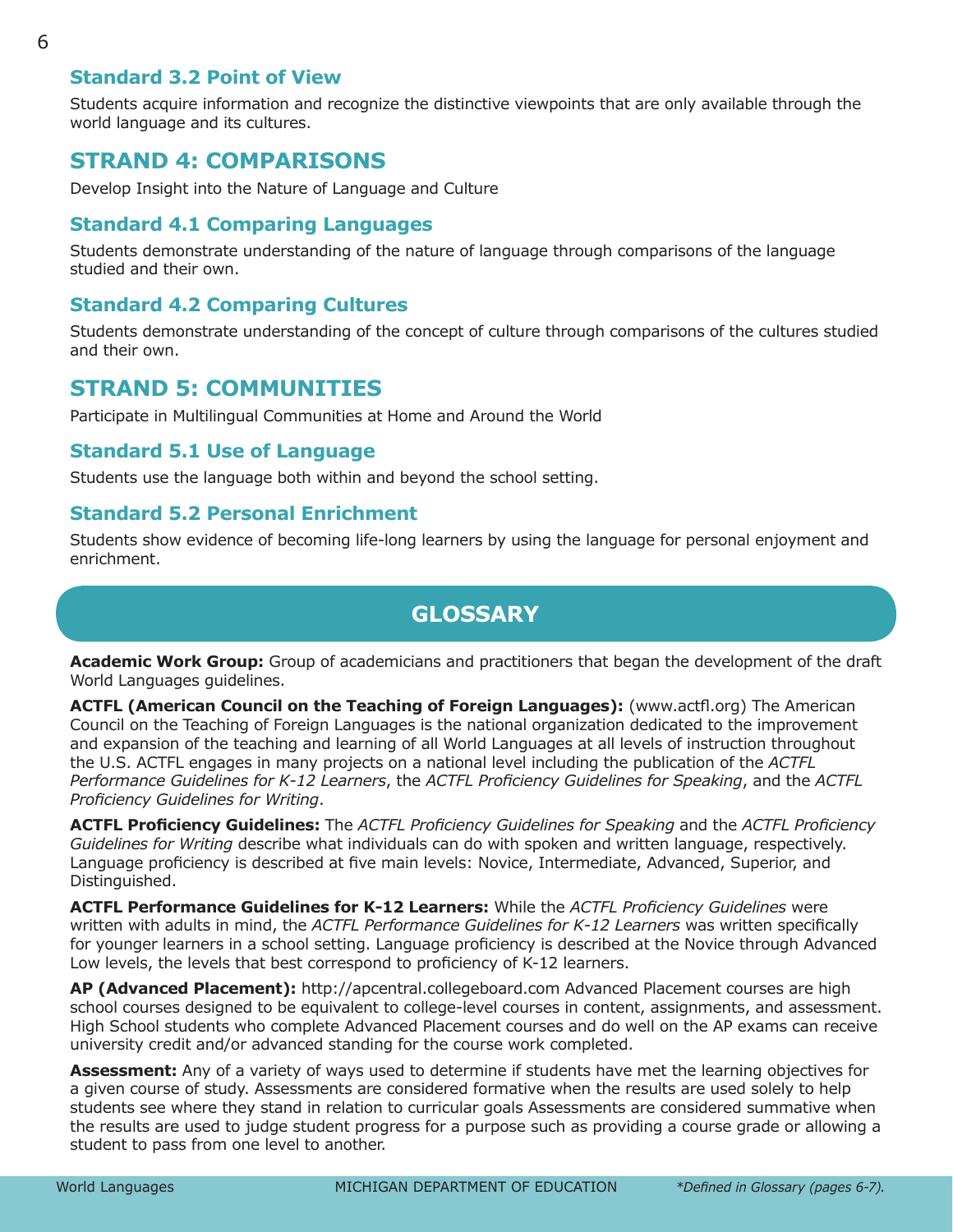#### <span id="page-7-0"></span>**Standard 3.2 Point of View**

Students acquire information and recognize the distinctive viewpoints that are only available through the world language and its cultures.

#### **STRAND 4: COMPARISONS**

Develop Insight into the Nature of Language and Culture

#### **Standard 4.1 Comparing Languages**

Students demonstrate understanding of the nature of language through comparisons of the language studied and their own.

#### **Standard 4.2 Comparing Cultures**

Students demonstrate understanding of the concept of culture through comparisons of the cultures studied and their own.

#### **STRAND 5: COMMUNITIES**

Participate in Multilingual Communities at Home and Around the World

#### **Standard 5.1 Use of Language**

Students use the language both within and beyond the school setting.

#### **Standard 5.2 Personal Enrichment**

Students show evidence of becoming life-long learners by using the language for personal enjoyment and enrichment.

#### **GLOSSARY**

**Academic Work Group:** Group of academicians and practitioners that began the development of the draft World Languages guidelines.

**ACTFL (American Council on the Teaching of Foreign Languages):** (www.actfl.org) The American Council on the Teaching of Foreign Languages is the national organization dedicated to the improvement and expansion of the teaching and learning of all World Languages at all levels of instruction throughout the U.S. ACTFL engages in many projects on a national level including the publication of the *ACTFL Performance Guidelines for K-12 Learners*, the *ACTFL Proficiency Guidelines for Speaking*, and the *ACTFL Proficiency Guidelines for Writing*.

**ACTFL Proficiency Guidelines:** The *ACTFL Proficiency Guidelines for Speaking* and the *ACTFL Proficiency Guidelines for Writing* describe what individuals can do with spoken and written language, respectively. Language proficiency is described at five main levels: Novice, Intermediate, Advanced, Superior, and Distinguished.

**ACTFL Performance Guidelines for K-12 Learners:** While the *ACTFL Proficiency Guidelines* were written with adults in mind, the *ACTFL Performance Guidelines for K-12 Learners* was written specifically for younger learners in a school setting. Language proficiency is described at the Novice through Advanced Low levels, the levels that best correspond to proficiency of K-12 learners.

**AP (Advanced Placement):** http://apcentral.collegeboard.com Advanced Placement courses are high school courses designed to be equivalent to college-level courses in content, assignments, and assessment. High School students who complete Advanced Placement courses and do well on the AP exams can receive university credit and/or advanced standing for the course work completed.

**Assessment:** Any of a variety of ways used to determine if students have met the learning objectives for a given course of study. Assessments are considered formative when the results are used solely to help students see where they stand in relation to curricular goals Assessments are considered summative when the results are used to judge student progress for a purpose such as providing a course grade or allowing a student to pass from one level to another.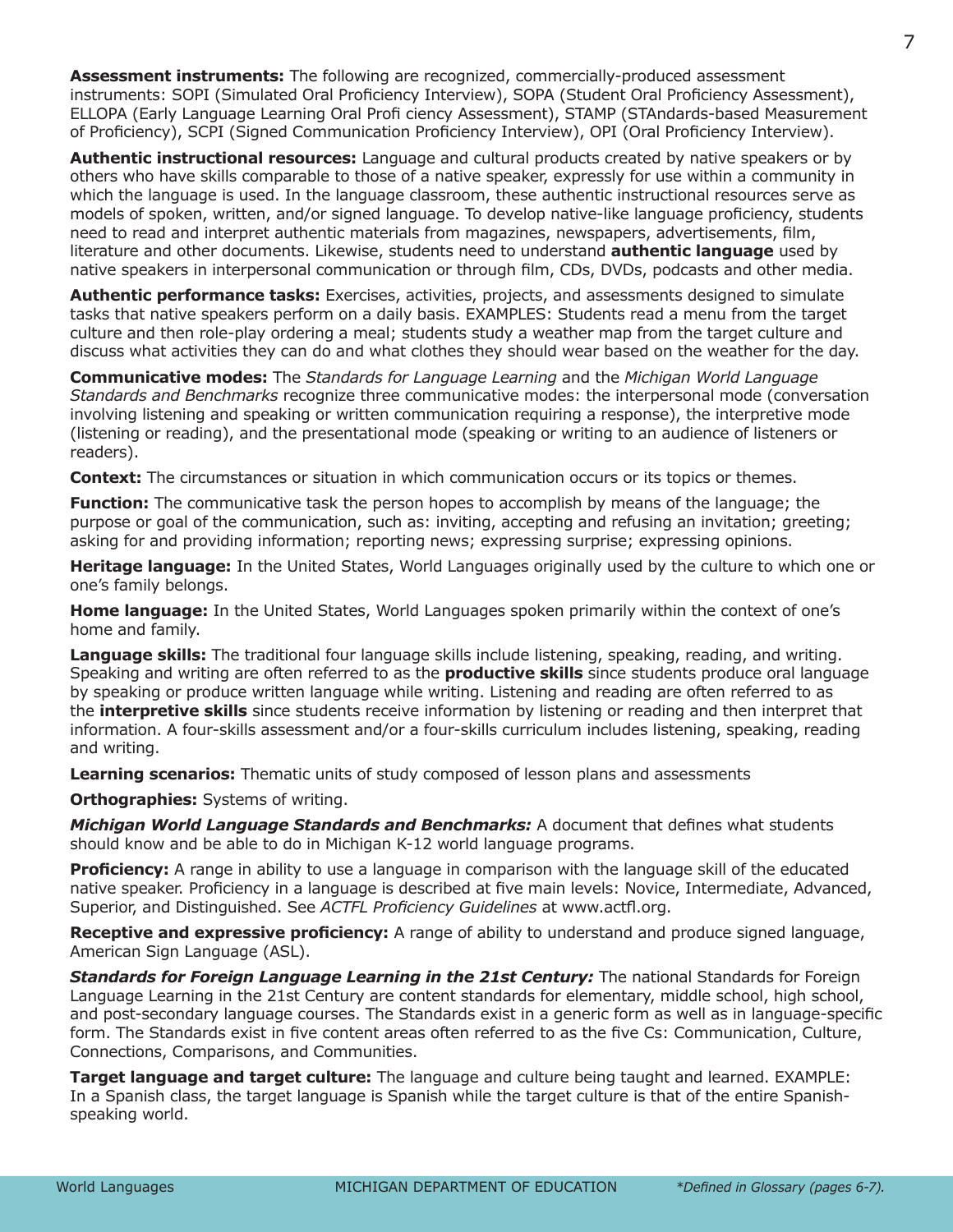**Assessment instruments:** The following are recognized, commercially-produced assessment instruments: SOPI (Simulated Oral Proficiency Interview), SOPA (Student Oral Proficiency Assessment), ELLOPA (Early Language Learning Oral Profi ciency Assessment), STAMP (STAndards-based Measurement of Proficiency), SCPI (Signed Communication Proficiency Interview), OPI (Oral Proficiency Interview).

**Authentic instructional resources:** Language and cultural products created by native speakers or by others who have skills comparable to those of a native speaker, expressly for use within a community in which the language is used. In the language classroom, these authentic instructional resources serve as models of spoken, written, and/or signed language. To develop native-like language proficiency, students need to read and interpret authentic materials from magazines, newspapers, advertisements, film, literature and other documents. Likewise, students need to understand **authentic language** used by native speakers in interpersonal communication or through film, CDs, DVDs, podcasts and other media.

**Authentic performance tasks:** Exercises, activities, projects, and assessments designed to simulate tasks that native speakers perform on a daily basis. EXAMPLES: Students read a menu from the target culture and then role-play ordering a meal; students study a weather map from the target culture and discuss what activities they can do and what clothes they should wear based on the weather for the day.

**Communicative modes:** The *Standards for Language Learning* and the *Michigan World Language Standards and Benchmarks* recognize three communicative modes: the interpersonal mode (conversation involving listening and speaking or written communication requiring a response), the interpretive mode (listening or reading), and the presentational mode (speaking or writing to an audience of listeners or readers).

**Context:** The circumstances or situation in which communication occurs or its topics or themes.

**Function:** The communicative task the person hopes to accomplish by means of the language; the purpose or goal of the communication, such as: inviting, accepting and refusing an invitation; greeting; asking for and providing information; reporting news; expressing surprise; expressing opinions.

**Heritage language:** In the United States, World Languages originally used by the culture to which one or one's family belongs.

**Home language:** In the United States, World Languages spoken primarily within the context of one's home and family.

**Language skills:** The traditional four language skills include listening, speaking, reading, and writing. Speaking and writing are often referred to as the **productive skills** since students produce oral language by speaking or produce written language while writing. Listening and reading are often referred to as the **interpretive skills** since students receive information by listening or reading and then interpret that information. A four-skills assessment and/or a four-skills curriculum includes listening, speaking, reading and writing.

**Learning scenarios:** Thematic units of study composed of lesson plans and assessments

**Orthographies:** Systems of writing.

*Michigan World Language Standards and Benchmarks:* A document that defines what students should know and be able to do in Michigan K-12 world language programs.

**Proficiency:** A range in ability to use a language in comparison with the language skill of the educated native speaker. Proficiency in a language is described at five main levels: Novice, Intermediate, Advanced, Superior, and Distinguished. See *ACTFL Proficiency Guidelines* at www.actfl.org.

**Receptive and expressive proficiency:** A range of ability to understand and produce signed language, American Sign Language (ASL).

*Standards for Foreign Language Learning in the 21st Century:* The national Standards for Foreign Language Learning in the 21st Century are content standards for elementary, middle school, high school, and post-secondary language courses. The Standards exist in a generic form as well as in language-specific form. The Standards exist in five content areas often referred to as the five Cs: Communication, Culture, Connections, Comparisons, and Communities.

**Target language and target culture:** The language and culture being taught and learned. EXAMPLE: In a Spanish class, the target language is Spanish while the target culture is that of the entire Spanishspeaking world.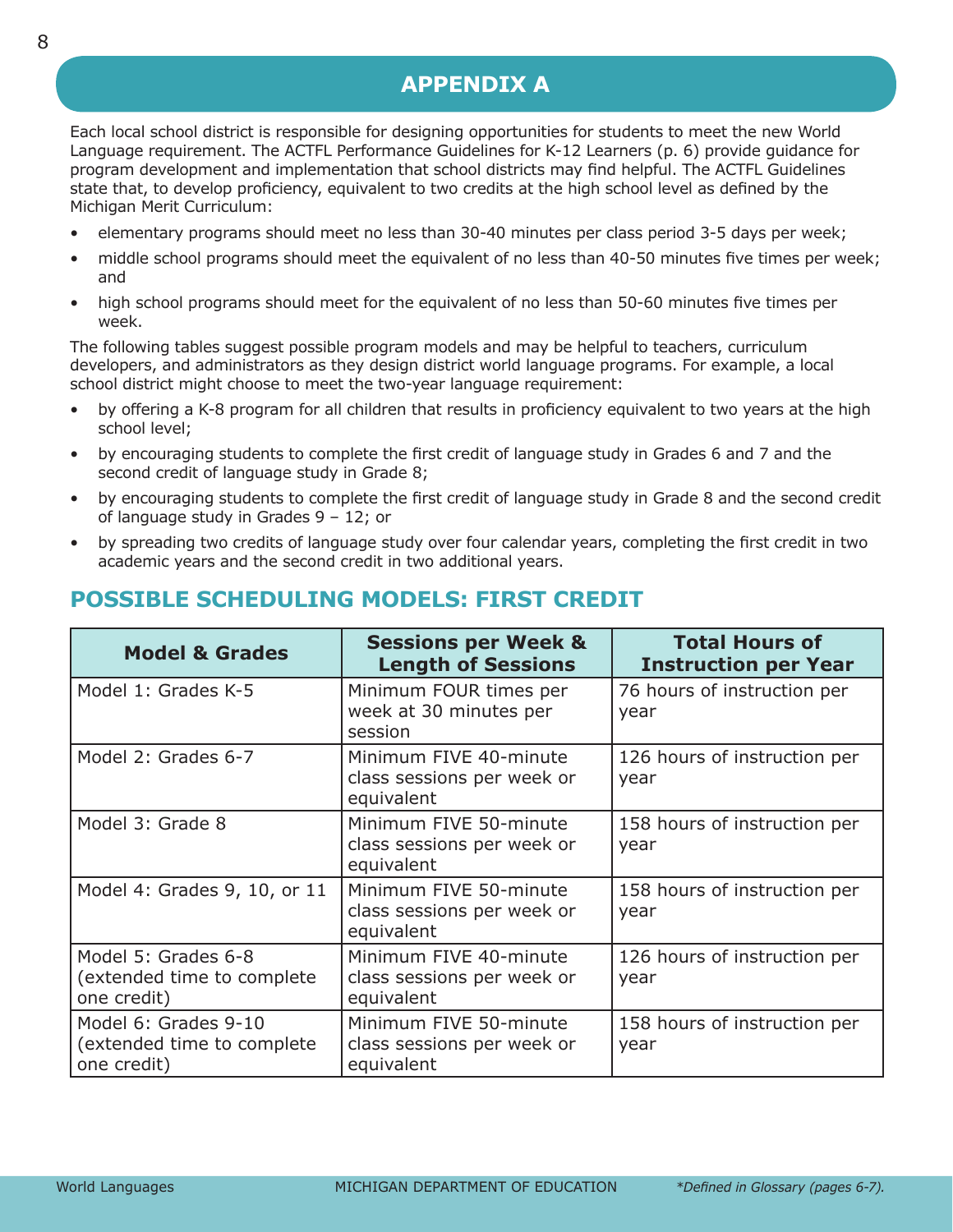# **APPENDIX A**

<span id="page-9-0"></span>Each local school district is responsible for designing opportunities for students to meet the new World Language requirement. The ACTFL Performance Guidelines for K-12 Learners (p. 6) provide guidance for program development and implementation that school districts may find helpful. The ACTFL Guidelines state that, to develop proficiency, equivalent to two credits at the high school level as defined by the Michigan Merit Curriculum:

- elementary programs should meet no less than 30-40 minutes per class period 3-5 days per week;
- middle school programs should meet the equivalent of no less than 40-50 minutes five times per week; and
- high school programs should meet for the equivalent of no less than 50-60 minutes five times per week.

The following tables suggest possible program models and may be helpful to teachers, curriculum developers, and administrators as they design district world language programs. For example, a local school district might choose to meet the two-year language requirement:

- by offering a K-8 program for all children that results in proficiency equivalent to two years at the high school level;
- by encouraging students to complete the first credit of language study in Grades 6 and 7 and the second credit of language study in Grade 8;
- by encouraging students to complete the first credit of language study in Grade 8 and the second credit of language study in Grades 9 – 12; or
- by spreading two credits of language study over four calendar years, completing the first credit in two academic years and the second credit in two additional years.

| <b>Model &amp; Grades</b>                                         | <b>Sessions per Week &amp;</b><br><b>Length of Sessions</b>        | <b>Total Hours of</b><br><b>Instruction per Year</b> |
|-------------------------------------------------------------------|--------------------------------------------------------------------|------------------------------------------------------|
| Model 1: Grades K-5                                               | Minimum FOUR times per<br>week at 30 minutes per<br>session        | 76 hours of instruction per<br>year                  |
| Model 2: Grades 6-7                                               | Minimum FIVE 40-minute<br>class sessions per week or<br>equivalent | 126 hours of instruction per<br>year                 |
| Model 3: Grade 8                                                  | Minimum FIVE 50-minute<br>class sessions per week or<br>equivalent | 158 hours of instruction per<br>year                 |
| Model 4: Grades 9, 10, or 11                                      | Minimum FIVE 50-minute<br>class sessions per week or<br>equivalent | 158 hours of instruction per<br>year                 |
| Model 5: Grades 6-8<br>(extended time to complete<br>one credit)  | Minimum FIVE 40-minute<br>class sessions per week or<br>equivalent | 126 hours of instruction per<br>year                 |
| Model 6: Grades 9-10<br>(extended time to complete<br>one credit) | Minimum FIVE 50-minute<br>class sessions per week or<br>equivalent | 158 hours of instruction per<br>year                 |

# **POSSIBLE SCHEDULING MODELS: FIRST CREDIT**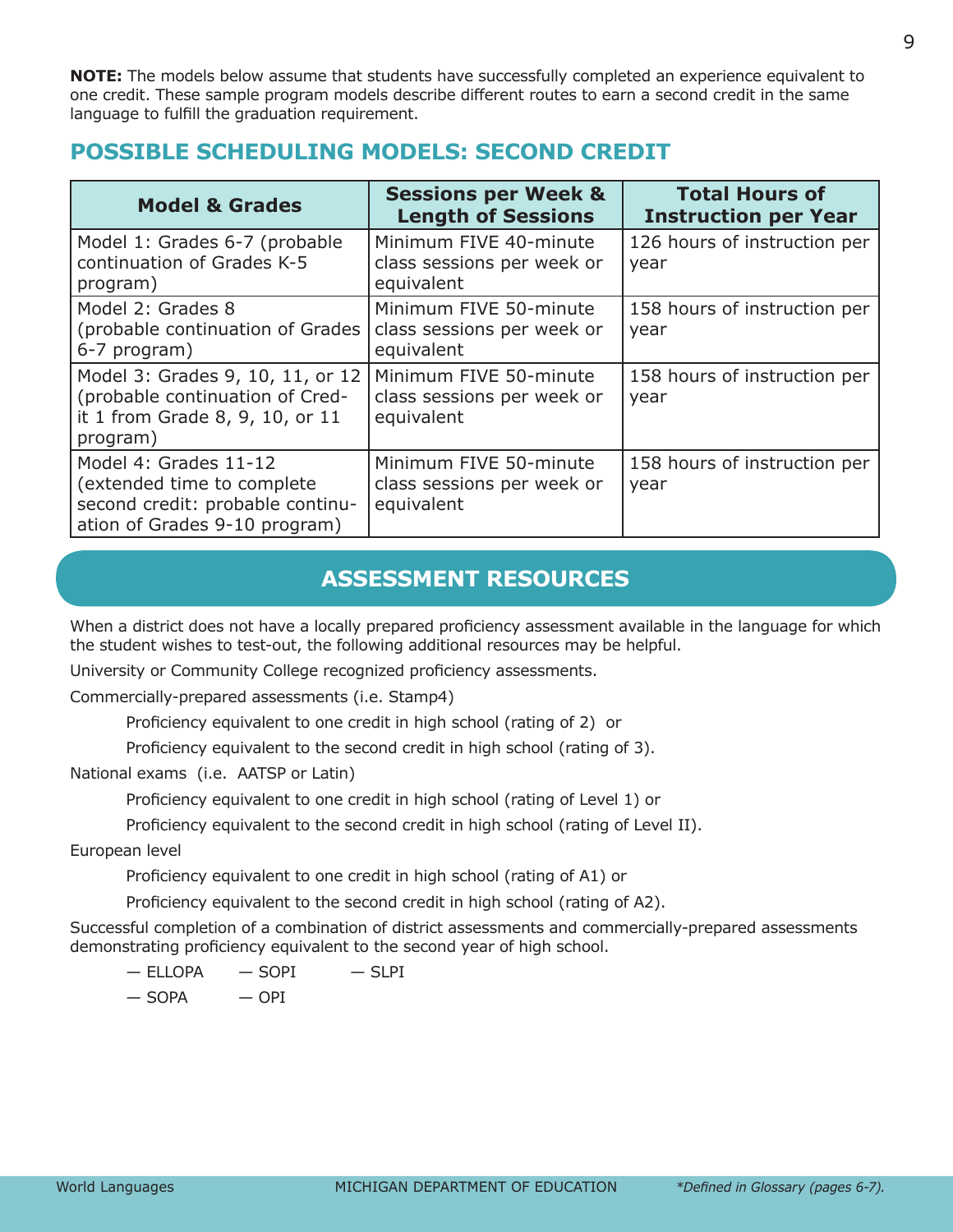<span id="page-10-0"></span>**NOTE:** The models below assume that students have successfully completed an experience equivalent to one credit. These sample program models describe different routes to earn a second credit in the same language to fulfill the graduation requirement.

# **POSSIBLE SCHEDULING MODELS: SECOND CREDIT**

| <b>Model &amp; Grades</b>                                                                                                | <b>Sessions per Week &amp;</b><br><b>Length of Sessions</b>        | <b>Total Hours of</b><br><b>Instruction per Year</b> |
|--------------------------------------------------------------------------------------------------------------------------|--------------------------------------------------------------------|------------------------------------------------------|
| Model 1: Grades 6-7 (probable<br>continuation of Grades K-5<br>program)                                                  | Minimum FIVE 40-minute<br>class sessions per week or<br>equivalent | 126 hours of instruction per<br>year                 |
| Model 2: Grades 8<br>(probable continuation of Grades)<br>6-7 program)                                                   | Minimum FIVE 50-minute<br>class sessions per week or<br>equivalent | 158 hours of instruction per<br>year                 |
| Model 3: Grades 9, 10, 11, or 12<br>(probable continuation of Cred-<br>it 1 from Grade 8, 9, 10, or 11<br>program)       | Minimum FIVE 50-minute<br>class sessions per week or<br>equivalent | 158 hours of instruction per<br>year                 |
| Model 4: Grades 11-12<br>(extended time to complete<br>second credit: probable continu-<br>ation of Grades 9-10 program) | Minimum FIVE 50-minute<br>class sessions per week or<br>equivalent | 158 hours of instruction per<br>year                 |

# **ASSESSMENT RESOURCES**

When a district does not have a locally prepared proficiency assessment available in the language for which the student wishes to test-out, the following additional resources may be helpful.

University or Community College recognized proficiency assessments.

Commercially-prepared assessments (i.e. Stamp4)

Proficiency equivalent to one credit in high school (rating of 2) or

Proficiency equivalent to the second credit in high school (rating of 3).

National exams (i.e. AATSP or Latin)

Proficiency equivalent to one credit in high school (rating of Level 1) or

Proficiency equivalent to the second credit in high school (rating of Level II).

European level

Proficiency equivalent to one credit in high school (rating of A1) or

Proficiency equivalent to the second credit in high school (rating of A2).

Successful completion of a combination of district assessments and commercially-prepared assessments demonstrating proficiency equivalent to the second year of high school.

 $-$  ELLOPA  $-$  SOPI  $-$  SLPI

 $-$  SOPA  $-$  OPI